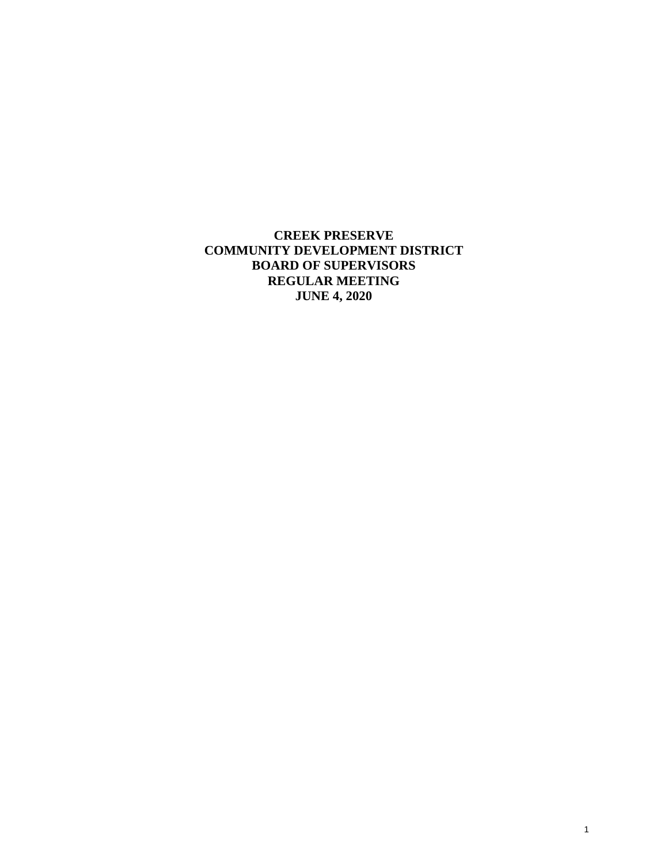**CREEK PRESERVE COMMUNITY DEVELOPMENT DISTRICT BOARD OF SUPERVISORS REGULAR MEETING JUNE 4, 2020**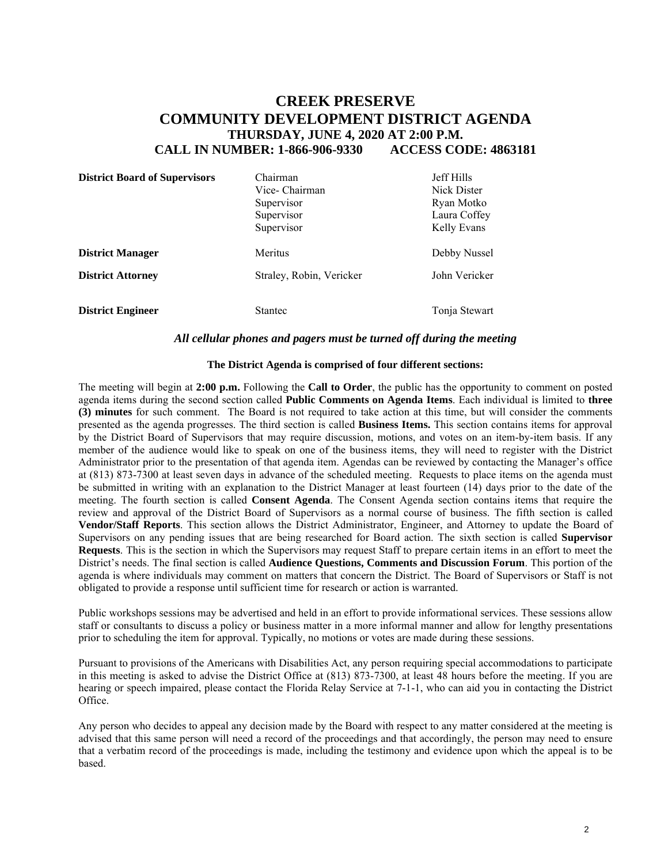# **CREEK PRESERVE COMMUNITY DEVELOPMENT DISTRICT AGENDA THURSDAY, JUNE 4, 2020 AT 2:00 P.M. CALL IN NUMBER: 1-866-906-9330 ACCESS CODE: 4863181**

| <b>District Board of Supervisors</b> | Chairman<br>Vice- Chairman<br>Supervisor<br>Supervisor<br>Supervisor | <b>Jeff Hills</b><br>Nick Dister<br>Ryan Motko<br>Laura Coffey<br>Kelly Evans |
|--------------------------------------|----------------------------------------------------------------------|-------------------------------------------------------------------------------|
| <b>District Manager</b>              | Meritus                                                              | Debby Nussel                                                                  |
| <b>District Attorney</b>             | Straley, Robin, Vericker                                             | John Vericker                                                                 |
| <b>District Engineer</b>             | Stantec                                                              | Tonja Stewart                                                                 |

#### *All cellular phones and pagers must be turned off during the meeting*

#### **The District Agenda is comprised of four different sections:**

The meeting will begin at **2:00 p.m.** Following the **Call to Order**, the public has the opportunity to comment on posted agenda items during the second section called **Public Comments on Agenda Items**. Each individual is limited to **three (3) minutes** for such comment. The Board is not required to take action at this time, but will consider the comments presented as the agenda progresses. The third section is called **Business Items.** This section contains items for approval by the District Board of Supervisors that may require discussion, motions, and votes on an item-by-item basis. If any member of the audience would like to speak on one of the business items, they will need to register with the District Administrator prior to the presentation of that agenda item. Agendas can be reviewed by contacting the Manager's office at (813) 873-7300 at least seven days in advance of the scheduled meeting. Requests to place items on the agenda must be submitted in writing with an explanation to the District Manager at least fourteen (14) days prior to the date of the meeting. The fourth section is called **Consent Agenda**. The Consent Agenda section contains items that require the review and approval of the District Board of Supervisors as a normal course of business. The fifth section is called **Vendor/Staff Reports**. This section allows the District Administrator, Engineer, and Attorney to update the Board of Supervisors on any pending issues that are being researched for Board action. The sixth section is called **Supervisor Requests**. This is the section in which the Supervisors may request Staff to prepare certain items in an effort to meet the District's needs. The final section is called **Audience Questions, Comments and Discussion Forum**. This portion of the agenda is where individuals may comment on matters that concern the District. The Board of Supervisors or Staff is not obligated to provide a response until sufficient time for research or action is warranted.

Public workshops sessions may be advertised and held in an effort to provide informational services. These sessions allow staff or consultants to discuss a policy or business matter in a more informal manner and allow for lengthy presentations prior to scheduling the item for approval. Typically, no motions or votes are made during these sessions.

Pursuant to provisions of the Americans with Disabilities Act, any person requiring special accommodations to participate in this meeting is asked to advise the District Office at (813) 873-7300, at least 48 hours before the meeting. If you are hearing or speech impaired, please contact the Florida Relay Service at 7-1-1, who can aid you in contacting the District Office.

Any person who decides to appeal any decision made by the Board with respect to any matter considered at the meeting is advised that this same person will need a record of the proceedings and that accordingly, the person may need to ensure that a verbatim record of the proceedings is made, including the testimony and evidence upon which the appeal is to be based.